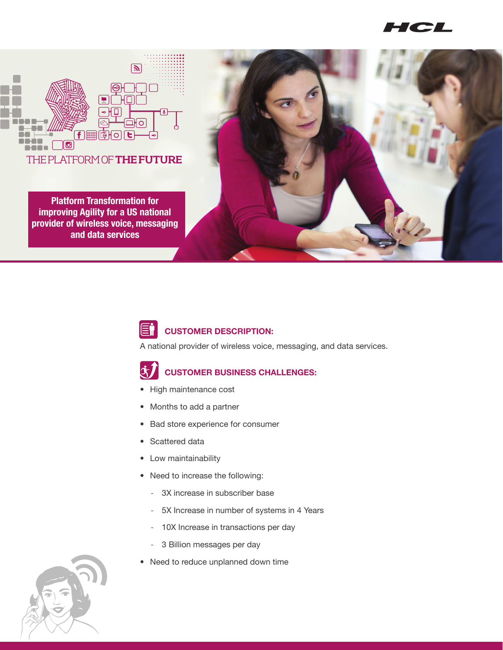**ICL** 



**Platform Transformation for improving Agility for a US national provider of wireless voice, messaging and data services**





A national provider of wireless voice, messaging, and data services.



- High maintenance cost
- Months to add a partner
- Bad store experience for consumer
- Scattered data
- Low maintainability
- Need to increase the following:
	- 3X increase in subscriber base
	- 5X Increase in number of systems in 4 Years
	- 10X Increase in transactions per day
	- 3 Billion messages per day
- Need to reduce unplanned down time